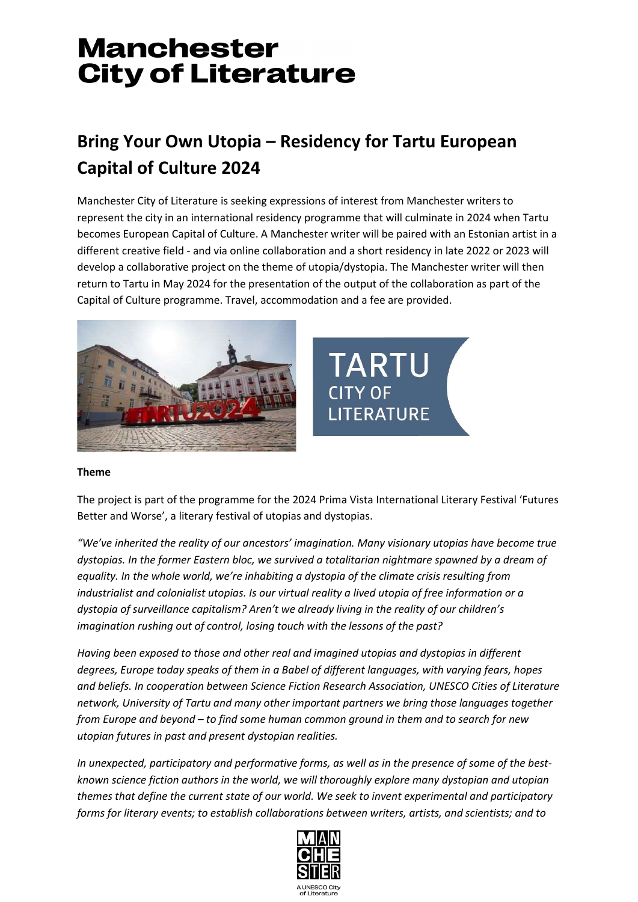## **Manchester City of Literature**

### Bring Your Own Utopia – Residency for Tartu European Capital of Culture 2024

Manchester City of Literature is seeking expressions of interest from Manchester writers to represent the city in an international residency programme that will culminate in 2024 when Tartu becomes European Capital of Culture. A Manchester writer will be paired with an Estonian artist in a different creative field - and via online collaboration and a short residency in late 2022 or 2023 will develop a collaborative project on the theme of utopia/dystopia. The Manchester writer will then return to Tartu in May 2024 for the presentation of the output of the collaboration as part of the Capital of Culture programme. Travel, accommodation and a fee are provided.





#### Theme

The project is part of the programme for the 2024 Prima Vista International Literary Festival 'Futures Better and Worse', a literary festival of utopias and dystopias.

"We've inherited the reality of our ancestors' imagination. Many visionary utopias have become true dystopias. In the former Eastern bloc, we survived a totalitarian nightmare spawned by a dream of equality. In the whole world, we're inhabiting a dystopia of the climate crisis resulting from industrialist and colonialist utopias. Is our virtual reality a lived utopia of free information or a dystopia of surveillance capitalism? Aren't we already living in the reality of our children's imagination rushing out of control, losing touch with the lessons of the past?

Having been exposed to those and other real and imagined utopias and dystopias in different degrees, Europe today speaks of them in a Babel of different languages, with varying fears, hopes and beliefs. In cooperation between Science Fiction Research Association, UNESCO Cities of Literature network, University of Tartu and many other important partners we bring those languages together from Europe and beyond – to find some human common ground in them and to search for new utopian futures in past and present dystopian realities.

In unexpected, participatory and performative forms, as well as in the presence of some of the bestknown science fiction authors in the world, we will thoroughly explore many dystopian and utopian themes that define the current state of our world. We seek to invent experimental and participatory forms for literary events; to establish collaborations between writers, artists, and scientists; and to

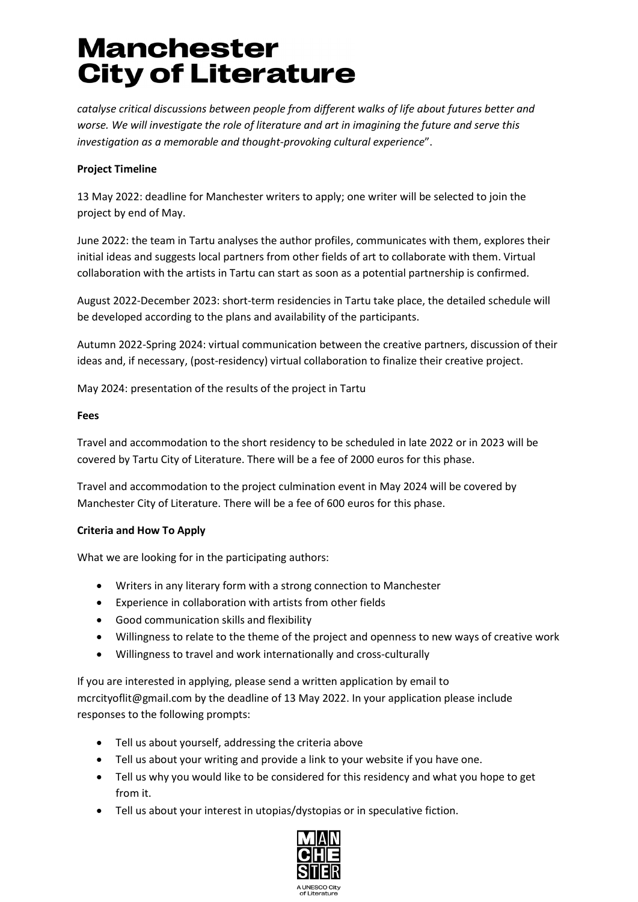# **Manchester City of Literature**

catalyse critical discussions between people from different walks of life about futures better and worse. We will investigate the role of literature and art in imagining the future and serve this investigation as a memorable and thought-provoking cultural experience".

### Project Timeline

13 May 2022: deadline for Manchester writers to apply; one writer will be selected to join the project by end of May.

June 2022: the team in Tartu analyses the author profiles, communicates with them, explores their initial ideas and suggests local partners from other fields of art to collaborate with them. Virtual collaboration with the artists in Tartu can start as soon as a potential partnership is confirmed.

August 2022-December 2023: short-term residencies in Tartu take place, the detailed schedule will be developed according to the plans and availability of the participants.

Autumn 2022-Spring 2024: virtual communication between the creative partners, discussion of their ideas and, if necessary, (post-residency) virtual collaboration to finalize their creative project.

May 2024: presentation of the results of the project in Tartu

#### Fees

Travel and accommodation to the short residency to be scheduled in late 2022 or in 2023 will be covered by Tartu City of Literature. There will be a fee of 2000 euros for this phase.

Travel and accommodation to the project culmination event in May 2024 will be covered by Manchester City of Literature. There will be a fee of 600 euros for this phase.

#### Criteria and How To Apply

What we are looking for in the participating authors:

- Writers in any literary form with a strong connection to Manchester
- Experience in collaboration with artists from other fields
- Good communication skills and flexibility
- Willingness to relate to the theme of the project and openness to new ways of creative work
- Willingness to travel and work internationally and cross-culturally

If you are interested in applying, please send a written application by email to mcrcityoflit@gmail.com by the deadline of 13 May 2022. In your application please include responses to the following prompts:

- Tell us about yourself, addressing the criteria above
- Tell us about your writing and provide a link to your website if you have one.
- Tell us why you would like to be considered for this residency and what you hope to get from it.
- Tell us about your interest in utopias/dystopias or in speculative fiction.